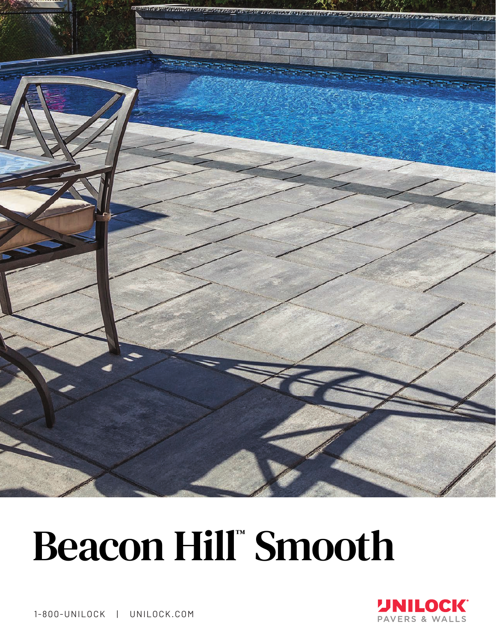

# Beacon Hill™ Smooth



1-800-UNILOCK | UNILOCK.COM